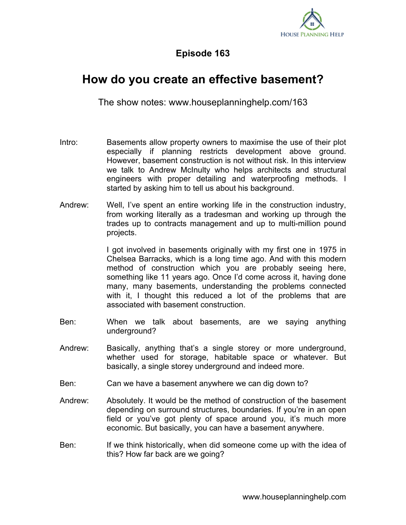

## **Episode 163**

## **How do you create an effective basement?**

The show notes: www.houseplanninghelp.com/163

- Intro: Basements allow property owners to maximise the use of their plot especially if planning restricts development above ground. However, basement construction is not without risk. In this interview we talk to Andrew McInulty who helps architects and structural engineers with proper detailing and waterproofing methods. I started by asking him to tell us about his background.
- Andrew: Well, I've spent an entire working life in the construction industry, from working literally as a tradesman and working up through the trades up to contracts management and up to multi-million pound projects.

I got involved in basements originally with my first one in 1975 in Chelsea Barracks, which is a long time ago. And with this modern method of construction which you are probably seeing here, something like 11 years ago. Once I'd come across it, having done many, many basements, understanding the problems connected with it, I thought this reduced a lot of the problems that are associated with basement construction.

- Ben: When we talk about basements, are we saying anything underground?
- Andrew: Basically, anything that's a single storey or more underground, whether used for storage, habitable space or whatever. But basically, a single storey underground and indeed more.
- Ben: Can we have a basement anywhere we can dig down to?
- Andrew: Absolutely. It would be the method of construction of the basement depending on surround structures, boundaries. If you're in an open field or you've got plenty of space around you, it's much more economic. But basically, you can have a basement anywhere.
- Ben: If we think historically, when did someone come up with the idea of this? How far back are we going?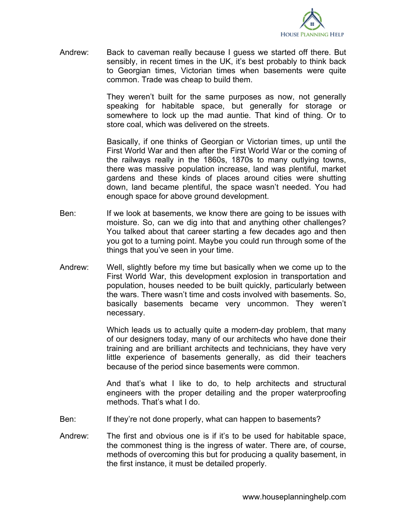

Andrew: Back to caveman really because I guess we started off there. But sensibly, in recent times in the UK, it's best probably to think back to Georgian times, Victorian times when basements were quite common. Trade was cheap to build them.

> They weren't built for the same purposes as now, not generally speaking for habitable space, but generally for storage or somewhere to lock up the mad auntie. That kind of thing. Or to store coal, which was delivered on the streets.

> Basically, if one thinks of Georgian or Victorian times, up until the First World War and then after the First World War or the coming of the railways really in the 1860s, 1870s to many outlying towns, there was massive population increase, land was plentiful, market gardens and these kinds of places around cities were shutting down, land became plentiful, the space wasn't needed. You had enough space for above ground development.

- Ben: If we look at basements, we know there are going to be issues with moisture. So, can we dig into that and anything other challenges? You talked about that career starting a few decades ago and then you got to a turning point. Maybe you could run through some of the things that you've seen in your time.
- Andrew: Well, slightly before my time but basically when we come up to the First World War, this development explosion in transportation and population, houses needed to be built quickly, particularly between the wars. There wasn't time and costs involved with basements. So, basically basements became very uncommon. They weren't necessary.

Which leads us to actually quite a modern-day problem, that many of our designers today, many of our architects who have done their training and are brilliant architects and technicians, they have very little experience of basements generally, as did their teachers because of the period since basements were common.

And that's what I like to do, to help architects and structural engineers with the proper detailing and the proper waterproofing methods. That's what I do.

- Ben: If they're not done properly, what can happen to basements?
- Andrew: The first and obvious one is if it's to be used for habitable space, the commonest thing is the ingress of water. There are, of course, methods of overcoming this but for producing a quality basement, in the first instance, it must be detailed properly.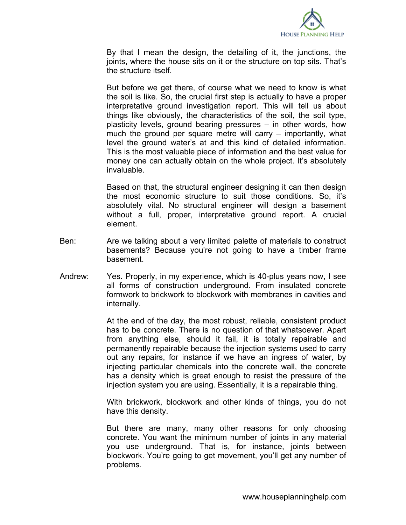

By that I mean the design, the detailing of it, the junctions, the joints, where the house sits on it or the structure on top sits. That's the structure itself.

But before we get there, of course what we need to know is what the soil is like. So, the crucial first step is actually to have a proper interpretative ground investigation report. This will tell us about things like obviously, the characteristics of the soil, the soil type, plasticity levels, ground bearing pressures – in other words, how much the ground per square metre will carry – importantly, what level the ground water's at and this kind of detailed information. This is the most valuable piece of information and the best value for money one can actually obtain on the whole project. It's absolutely invaluable.

Based on that, the structural engineer designing it can then design the most economic structure to suit those conditions. So, it's absolutely vital. No structural engineer will design a basement without a full, proper, interpretative ground report. A crucial element.

- Ben: Are we talking about a very limited palette of materials to construct basements? Because you're not going to have a timber frame basement.
- Andrew: Yes. Properly, in my experience, which is 40-plus years now, I see all forms of construction underground. From insulated concrete formwork to brickwork to blockwork with membranes in cavities and internally.

At the end of the day, the most robust, reliable, consistent product has to be concrete. There is no question of that whatsoever. Apart from anything else, should it fail, it is totally repairable and permanently repairable because the injection systems used to carry out any repairs, for instance if we have an ingress of water, by injecting particular chemicals into the concrete wall, the concrete has a density which is great enough to resist the pressure of the injection system you are using. Essentially, it is a repairable thing.

With brickwork, blockwork and other kinds of things, you do not have this density.

But there are many, many other reasons for only choosing concrete. You want the minimum number of joints in any material you use underground. That is, for instance, joints between blockwork. You're going to get movement, you'll get any number of problems.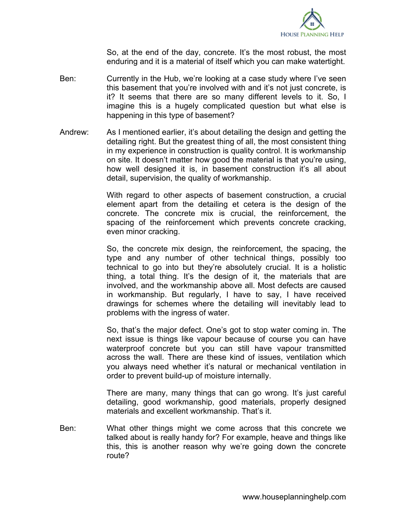

So, at the end of the day, concrete. It's the most robust, the most enduring and it is a material of itself which you can make watertight.

- Ben: Currently in the Hub, we're looking at a case study where I've seen this basement that you're involved with and it's not just concrete, is it? It seems that there are so many different levels to it. So, I imagine this is a hugely complicated question but what else is happening in this type of basement?
- Andrew: As I mentioned earlier, it's about detailing the design and getting the detailing right. But the greatest thing of all, the most consistent thing in my experience in construction is quality control. It is workmanship on site. It doesn't matter how good the material is that you're using, how well designed it is, in basement construction it's all about detail, supervision, the quality of workmanship.

With regard to other aspects of basement construction, a crucial element apart from the detailing et cetera is the design of the concrete. The concrete mix is crucial, the reinforcement, the spacing of the reinforcement which prevents concrete cracking, even minor cracking.

So, the concrete mix design, the reinforcement, the spacing, the type and any number of other technical things, possibly too technical to go into but they're absolutely crucial. It is a holistic thing, a total thing. It's the design of it, the materials that are involved, and the workmanship above all. Most defects are caused in workmanship. But regularly, I have to say, I have received drawings for schemes where the detailing will inevitably lead to problems with the ingress of water.

So, that's the major defect. One's got to stop water coming in. The next issue is things like vapour because of course you can have waterproof concrete but you can still have vapour transmitted across the wall. There are these kind of issues, ventilation which you always need whether it's natural or mechanical ventilation in order to prevent build-up of moisture internally.

There are many, many things that can go wrong. It's just careful detailing, good workmanship, good materials, properly designed materials and excellent workmanship. That's it.

Ben: What other things might we come across that this concrete we talked about is really handy for? For example, heave and things like this, this is another reason why we're going down the concrete route?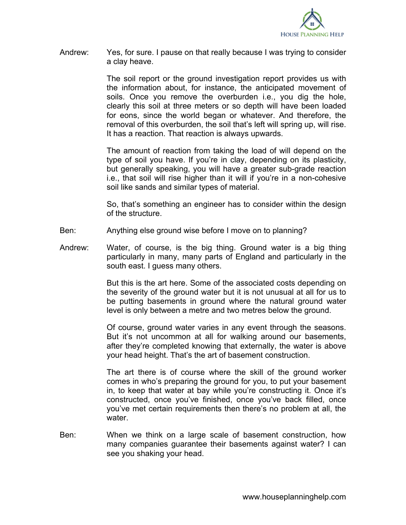

Andrew: Yes, for sure. I pause on that really because I was trying to consider a clay heave.

> The soil report or the ground investigation report provides us with the information about, for instance, the anticipated movement of soils. Once you remove the overburden i.e., you dig the hole, clearly this soil at three meters or so depth will have been loaded for eons, since the world began or whatever. And therefore, the removal of this overburden, the soil that's left will spring up, will rise. It has a reaction. That reaction is always upwards.

> The amount of reaction from taking the load of will depend on the type of soil you have. If you're in clay, depending on its plasticity, but generally speaking, you will have a greater sub-grade reaction i.e., that soil will rise higher than it will if you're in a non-cohesive soil like sands and similar types of material.

> So, that's something an engineer has to consider within the design of the structure.

- Ben: Anything else ground wise before I move on to planning?
- Andrew: Water, of course, is the big thing. Ground water is a big thing particularly in many, many parts of England and particularly in the south east. I guess many others.

But this is the art here. Some of the associated costs depending on the severity of the ground water but it is not unusual at all for us to be putting basements in ground where the natural ground water level is only between a metre and two metres below the ground.

Of course, ground water varies in any event through the seasons. But it's not uncommon at all for walking around our basements, after they're completed knowing that externally, the water is above your head height. That's the art of basement construction.

The art there is of course where the skill of the ground worker comes in who's preparing the ground for you, to put your basement in, to keep that water at bay while you're constructing it. Once it's constructed, once you've finished, once you've back filled, once you've met certain requirements then there's no problem at all, the water.

Ben: When we think on a large scale of basement construction, how many companies guarantee their basements against water? I can see you shaking your head.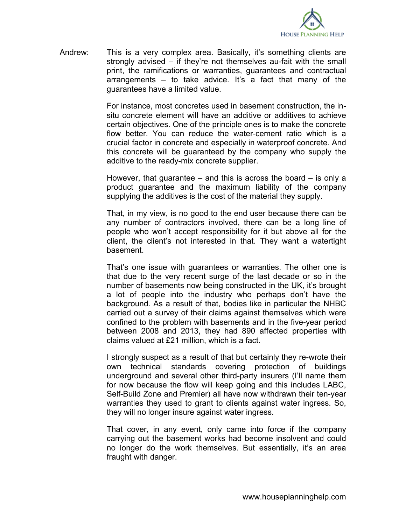

Andrew: This is a very complex area. Basically, it's something clients are strongly advised – if they're not themselves au-fait with the small print, the ramifications or warranties, guarantees and contractual arrangements – to take advice. It's a fact that many of the guarantees have a limited value.

> For instance, most concretes used in basement construction, the insitu concrete element will have an additive or additives to achieve certain objectives. One of the principle ones is to make the concrete flow better. You can reduce the water-cement ratio which is a crucial factor in concrete and especially in waterproof concrete. And this concrete will be guaranteed by the company who supply the additive to the ready-mix concrete supplier.

> However, that guarantee – and this is across the board – is only a product guarantee and the maximum liability of the company supplying the additives is the cost of the material they supply.

> That, in my view, is no good to the end user because there can be any number of contractors involved, there can be a long line of people who won't accept responsibility for it but above all for the client, the client's not interested in that. They want a watertight basement.

> That's one issue with guarantees or warranties. The other one is that due to the very recent surge of the last decade or so in the number of basements now being constructed in the UK, it's brought a lot of people into the industry who perhaps don't have the background. As a result of that, bodies like in particular the NHBC carried out a survey of their claims against themselves which were confined to the problem with basements and in the five-year period between 2008 and 2013, they had 890 affected properties with claims valued at £21 million, which is a fact.

> I strongly suspect as a result of that but certainly they re-wrote their own technical standards covering protection of buildings underground and several other third-party insurers (I'll name them for now because the flow will keep going and this includes LABC, Self-Build Zone and Premier) all have now withdrawn their ten-year warranties they used to grant to clients against water ingress. So, they will no longer insure against water ingress.

> That cover, in any event, only came into force if the company carrying out the basement works had become insolvent and could no longer do the work themselves. But essentially, it's an area fraught with danger.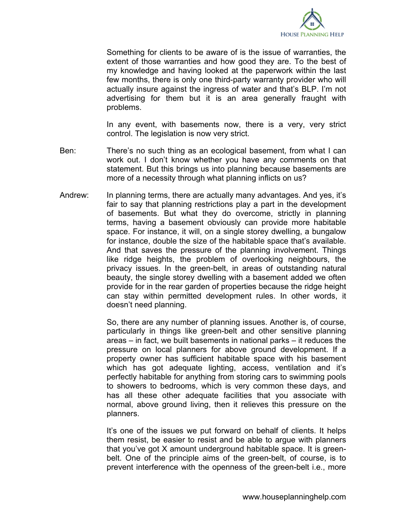

Something for clients to be aware of is the issue of warranties, the extent of those warranties and how good they are. To the best of my knowledge and having looked at the paperwork within the last few months, there is only one third-party warranty provider who will actually insure against the ingress of water and that's BLP. I'm not advertising for them but it is an area generally fraught with problems.

In any event, with basements now, there is a very, very strict control. The legislation is now very strict.

- Ben: There's no such thing as an ecological basement, from what I can work out. I don't know whether you have any comments on that statement. But this brings us into planning because basements are more of a necessity through what planning inflicts on us?
- Andrew: In planning terms, there are actually many advantages. And yes, it's fair to say that planning restrictions play a part in the development of basements. But what they do overcome, strictly in planning terms, having a basement obviously can provide more habitable space. For instance, it will, on a single storey dwelling, a bungalow for instance, double the size of the habitable space that's available. And that saves the pressure of the planning involvement. Things like ridge heights, the problem of overlooking neighbours, the privacy issues. In the green-belt, in areas of outstanding natural beauty, the single storey dwelling with a basement added we often provide for in the rear garden of properties because the ridge height can stay within permitted development rules. In other words, it doesn't need planning.

So, there are any number of planning issues. Another is, of course, particularly in things like green-belt and other sensitive planning areas – in fact, we built basements in national parks – it reduces the pressure on local planners for above ground development. If a property owner has sufficient habitable space with his basement which has got adequate lighting, access, ventilation and it's perfectly habitable for anything from storing cars to swimming pools to showers to bedrooms, which is very common these days, and has all these other adequate facilities that you associate with normal, above ground living, then it relieves this pressure on the planners.

It's one of the issues we put forward on behalf of clients. It helps them resist, be easier to resist and be able to argue with planners that you've got X amount underground habitable space. It is greenbelt. One of the principle aims of the green-belt, of course, is to prevent interference with the openness of the green-belt i.e., more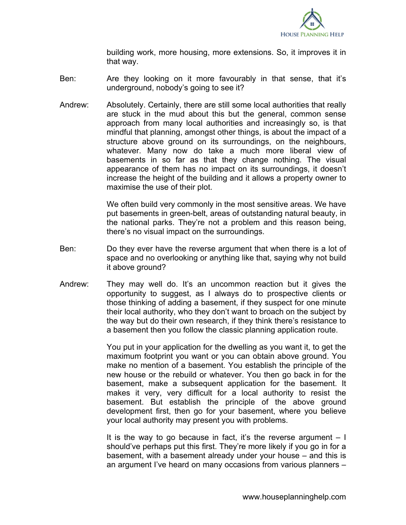

building work, more housing, more extensions. So, it improves it in that way.

- Ben: Are they looking on it more favourably in that sense, that it's underground, nobody's going to see it?
- Andrew: Absolutely. Certainly, there are still some local authorities that really are stuck in the mud about this but the general, common sense approach from many local authorities and increasingly so, is that mindful that planning, amongst other things, is about the impact of a structure above ground on its surroundings, on the neighbours, whatever. Many now do take a much more liberal view of basements in so far as that they change nothing. The visual appearance of them has no impact on its surroundings, it doesn't increase the height of the building and it allows a property owner to maximise the use of their plot.

We often build very commonly in the most sensitive areas. We have put basements in green-belt, areas of outstanding natural beauty, in the national parks. They're not a problem and this reason being, there's no visual impact on the surroundings.

- Ben: Do they ever have the reverse argument that when there is a lot of space and no overlooking or anything like that, saying why not build it above ground?
- Andrew: They may well do. It's an uncommon reaction but it gives the opportunity to suggest, as I always do to prospective clients or those thinking of adding a basement, if they suspect for one minute their local authority, who they don't want to broach on the subject by the way but do their own research, if they think there's resistance to a basement then you follow the classic planning application route.

You put in your application for the dwelling as you want it, to get the maximum footprint you want or you can obtain above ground. You make no mention of a basement. You establish the principle of the new house or the rebuild or whatever. You then go back in for the basement, make a subsequent application for the basement. It makes it very, very difficult for a local authority to resist the basement. But establish the principle of the above ground development first, then go for your basement, where you believe your local authority may present you with problems.

It is the way to go because in fact, it's the reverse argument  $-1$ should've perhaps put this first. They're more likely if you go in for a basement, with a basement already under your house – and this is an argument I've heard on many occasions from various planners –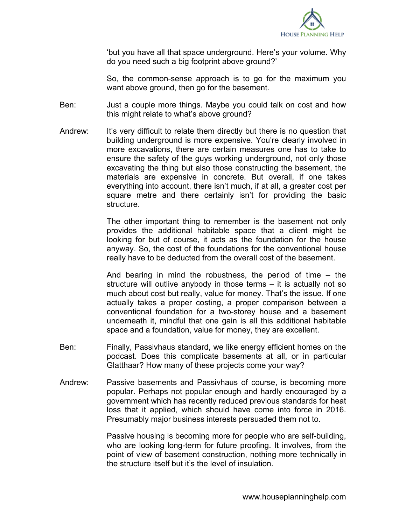

'but you have all that space underground. Here's your volume. Why do you need such a big footprint above ground?'

So, the common-sense approach is to go for the maximum you want above ground, then go for the basement.

- Ben: Just a couple more things. Maybe you could talk on cost and how this might relate to what's above ground?
- Andrew: It's very difficult to relate them directly but there is no question that building underground is more expensive. You're clearly involved in more excavations, there are certain measures one has to take to ensure the safety of the guys working underground, not only those excavating the thing but also those constructing the basement, the materials are expensive in concrete. But overall, if one takes everything into account, there isn't much, if at all, a greater cost per square metre and there certainly isn't for providing the basic structure.

The other important thing to remember is the basement not only provides the additional habitable space that a client might be looking for but of course, it acts as the foundation for the house anyway. So, the cost of the foundations for the conventional house really have to be deducted from the overall cost of the basement.

And bearing in mind the robustness, the period of time – the structure will outlive anybody in those terms – it is actually not so much about cost but really, value for money. That's the issue. If one actually takes a proper costing, a proper comparison between a conventional foundation for a two-storey house and a basement underneath it, mindful that one gain is all this additional habitable space and a foundation, value for money, they are excellent.

- Ben: Finally, Passivhaus standard, we like energy efficient homes on the podcast. Does this complicate basements at all, or in particular Glatthaar? How many of these projects come your way?
- Andrew: Passive basements and Passivhaus of course, is becoming more popular. Perhaps not popular enough and hardly encouraged by a government which has recently reduced previous standards for heat loss that it applied, which should have come into force in 2016. Presumably major business interests persuaded them not to.

Passive housing is becoming more for people who are self-building, who are looking long-term for future proofing. It involves, from the point of view of basement construction, nothing more technically in the structure itself but it's the level of insulation.